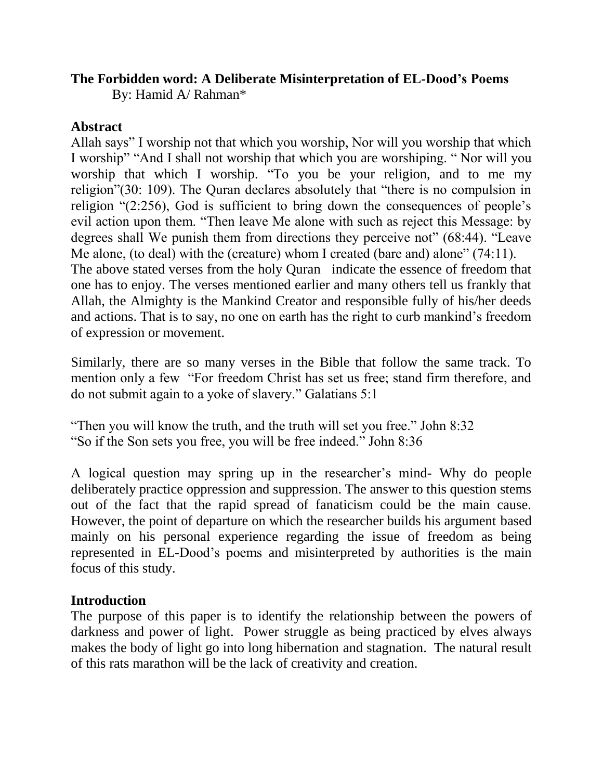### **The Forbidden word: A Deliberate Misinterpretation of EL-Dood's Poems**

By: Hamid A/ Rahman\*

### **Abstract**

Allah says" I worship not that which you worship, Nor will you worship that which I worship" "And I shall not worship that which you are worshiping. "Nor will you worship that which I worship. "To you be your religion, and to me my religion"(30: 109). The Quran declares absolutely that "there is no compulsion in religion  $(2:256)$ , God is sufficient to bring down the consequences of people's evil action upon them. "Then leave Me alone with such as reject this Message: by degrees shall We punish them from directions they perceive not"  $(68:44)$ . "Leave Me alone, (to deal) with the (creature) whom I created (bare and) alone"  $(74:11)$ . The above stated verses from the holy Quran indicate the essence of freedom that one has to enjoy. The verses mentioned earlier and many others tell us frankly that Allah, the Almighty is the Mankind Creator and responsible fully of his/her deeds and actions. That is to say, no one on earth has the right to curb mankind's freedom of expression or movement.

Similarly, there are so many verses in the Bible that follow the same track. To mention only a few "For freedom Christ has set us free; stand firm therefore, and do not submit again to a yoke of slavery." Galatians 5:1

"Then you will know the truth, and the truth will set you free." John 8:32 "So if the Son sets you free, you will be free indeed." John 8:36

A logical question may spring up in the researcher's mind- Why do people deliberately practice oppression and suppression. The answer to this question stems out of the fact that the rapid spread of fanaticism could be the main cause. However, the point of departure on which the researcher builds his argument based mainly on his personal experience regarding the issue of freedom as being represented in EL-Dood's poems and misinterpreted by authorities is the main focus of this study.

## **Introduction**

The purpose of this paper is to identify the relationship between the powers of darkness and power of light. Power struggle as being practiced by elves always makes the body of light go into long hibernation and stagnation. The natural result of this rats marathon will be the lack of creativity and creation.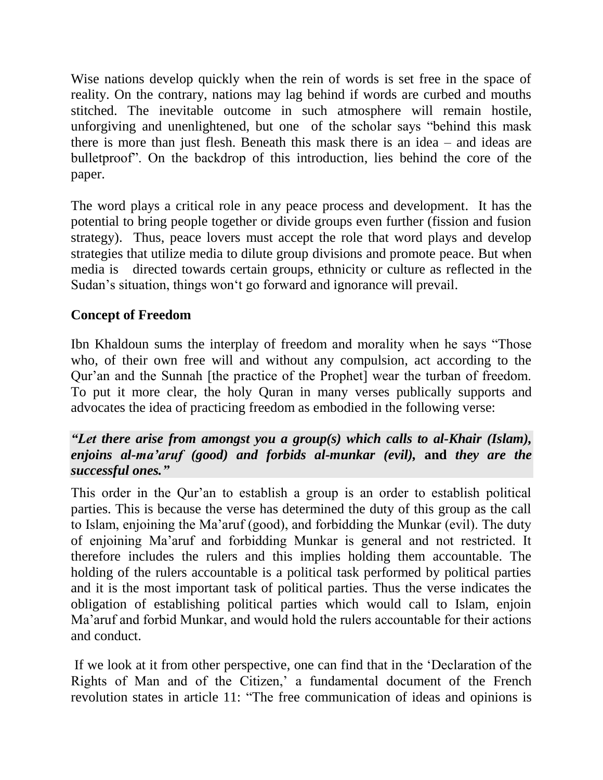Wise nations develop quickly when the rein of words is set free in the space of reality. On the contrary, nations may lag behind if words are curbed and mouths stitched. The inevitable outcome in such atmosphere will remain hostile, unforgiving and unenlightened, but one of the scholar says "behind this mask" there is more than just flesh. Beneath this mask there is an idea – and ideas are bulletproof". On the backdrop of this introduction, lies behind the core of the paper.

The word plays a critical role in any peace process and development. It has the potential to bring people together or divide groups even further (fission and fusion strategy). Thus, peace lovers must accept the role that word plays and develop strategies that utilize media to dilute group divisions and promote peace. But when media is directed towards certain groups, ethnicity or culture as reflected in the Sudan's situation, things won't go forward and ignorance will prevail.

# **Concept of Freedom**

Ibn Khaldoun sums the interplay of freedom and morality when he says "Those" who, of their own free will and without any compulsion, act according to the Qur'an and the Sunnah [the practice of the Prophet] wear the turban of freedom. To put it more clear, the holy Quran in many verses publically supports and advocates the idea of practicing freedom as embodied in the following verse:

### *"Let there arise from amongst you a group(s) which calls to al-Khair (Islam), enjoins al-ma'aruf (good) and forbids al-munkar (evil),* **and** *they are the successful ones."*

This order in the Qur'an to establish a group is an order to establish political parties. This is because the verse has determined the duty of this group as the call to Islam, enjoining the Ma'aruf (good), and forbidding the Munkar (evil). The duty of enjoining Ma'aruf and forbidding Munkar is general and not restricted. It therefore includes the rulers and this implies holding them accountable. The holding of the rulers accountable is a political task performed by political parties and it is the most important task of political parties. Thus the verse indicates the obligation of establishing political parties which would call to Islam, enjoin Ma'aruf and forbid Munkar, and would hold the rulers accountable for their actions and conduct.

If we look at it from other perspective, one can find that in the 'Declaration of the Rights of Man and of the Citizen,' a fundamental document of the French revolution states in article 11: "The free communication of ideas and opinions is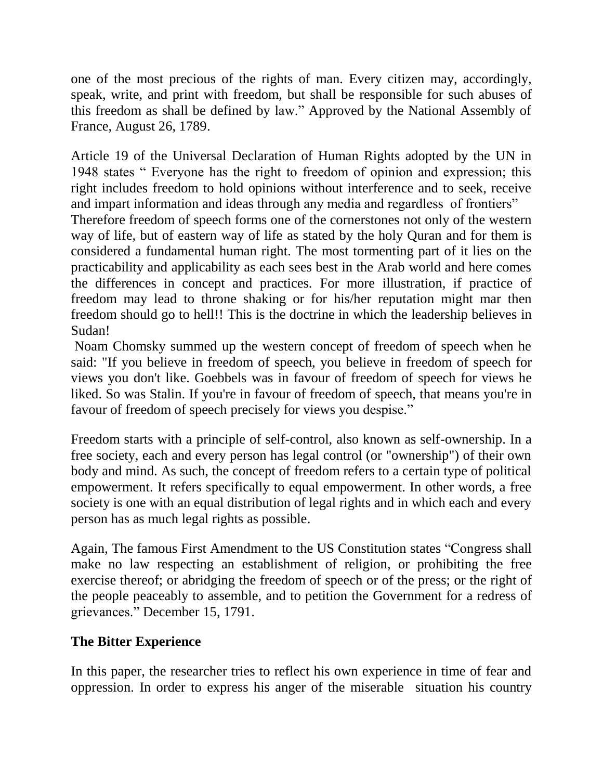one of the most precious of the rights of man. Every citizen may, accordingly, speak, write, and print with freedom, but shall be responsible for such abuses of this freedom as shall be defined by law." Approved by the National Assembly of France, August 26, 1789.

Article 19 of the Universal Declaration of Human Rights adopted by the UN in 1948 states " Everyone has the right to freedom of opinion and expression; this right includes freedom to hold opinions without interference and to seek, receive and impart information and ideas through any media and regardless of frontiers"

Therefore freedom of speech forms one of the cornerstones not only of the western way of life, but of eastern way of life as stated by the holy Quran and for them is considered a fundamental human right. The most tormenting part of it lies on the practicability and applicability as each sees best in the Arab world and here comes the differences in concept and practices. For more illustration, if practice of freedom may lead to throne shaking or for his/her reputation might mar then freedom should go to hell!! This is the doctrine in which the leadership believes in Sudan!

Noam Chomsky summed up the western concept of freedom of speech when he said: "If you believe in freedom of speech, you believe in freedom of speech for views you don't like. Goebbels was in favour of freedom of speech for views he liked. So was Stalin. If you're in favour of freedom of speech, that means you're in favour of freedom of speech precisely for views you despise."

Freedom starts with a principle of self-control, also known as self-ownership. In a free society, each and every person has legal control (or "ownership") of their own body and mind. As such, the concept of freedom refers to a certain type of political empowerment. It refers specifically to equal empowerment. In other words, a free society is one with an equal distribution of legal rights and in which each and every person has as much legal rights as possible.

Again, The famous First Amendment to the US Constitution states "Congress shall make no law respecting an establishment of religion, or prohibiting the free exercise thereof; or abridging the freedom of speech or of the press; or the right of the people peaceably to assemble, and to petition the Government for a redress of grievances.‖ December 15, 1791.

## **The Bitter Experience**

In this paper, the researcher tries to reflect his own experience in time of fear and oppression. In order to express his anger of the miserable situation his country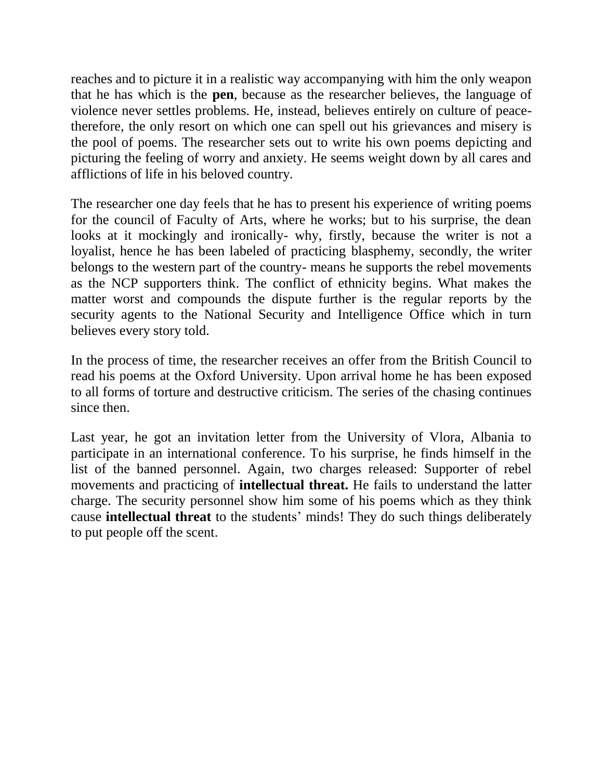reaches and to picture it in a realistic way accompanying with him the only weapon that he has which is the **pen**, because as the researcher believes, the language of violence never settles problems. He, instead, believes entirely on culture of peacetherefore, the only resort on which one can spell out his grievances and misery is the pool of poems. The researcher sets out to write his own poems depicting and picturing the feeling of worry and anxiety. He seems weight down by all cares and afflictions of life in his beloved country.

The researcher one day feels that he has to present his experience of writing poems for the council of Faculty of Arts, where he works; but to his surprise, the dean looks at it mockingly and ironically- why, firstly, because the writer is not a loyalist, hence he has been labeled of practicing blasphemy, secondly, the writer belongs to the western part of the country- means he supports the rebel movements as the NCP supporters think. The conflict of ethnicity begins. What makes the matter worst and compounds the dispute further is the regular reports by the security agents to the National Security and Intelligence Office which in turn believes every story told.

In the process of time, the researcher receives an offer from the British Council to read his poems at the Oxford University. Upon arrival home he has been exposed to all forms of torture and destructive criticism. The series of the chasing continues since then.

Last year, he got an invitation letter from the University of Vlora, Albania to participate in an international conference. To his surprise, he finds himself in the list of the banned personnel. Again, two charges released: Supporter of rebel movements and practicing of **intellectual threat.** He fails to understand the latter charge. The security personnel show him some of his poems which as they think cause **intellectual threat** to the students' minds! They do such things deliberately to put people off the scent.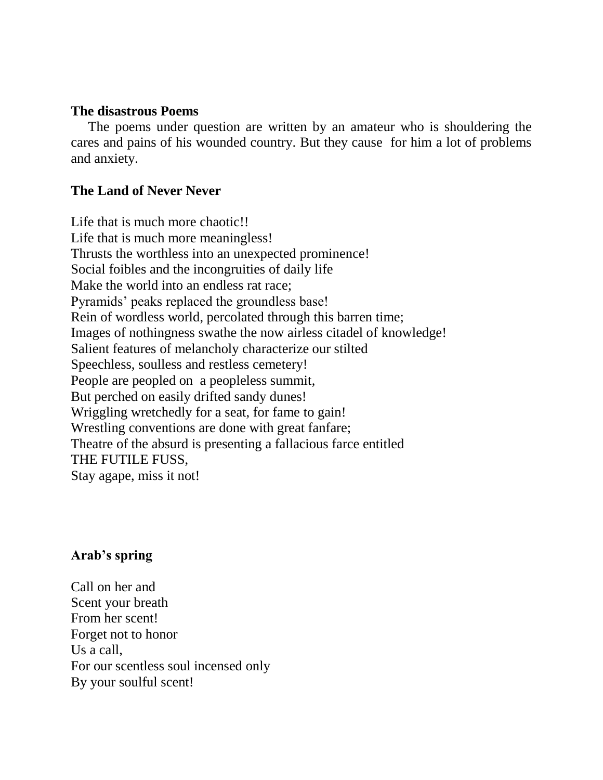#### **The disastrous Poems**

 The poems under question are written by an amateur who is shouldering the cares and pains of his wounded country. But they cause for him a lot of problems and anxiety.

### **The Land of Never Never**

Life that is much more chaotic!! Life that is much more meaningless! Thrusts the worthless into an unexpected prominence! Social foibles and the incongruities of daily life Make the world into an endless rat race; Pyramids' peaks replaced the groundless base! Rein of wordless world, percolated through this barren time; Images of nothingness swathe the now airless citadel of knowledge! Salient features of melancholy characterize our stilted Speechless, soulless and restless cemetery! People are peopled on a peopleless summit, But perched on easily drifted sandy dunes! Wriggling wretchedly for a seat, for fame to gain! Wrestling conventions are done with great fanfare; Theatre of the absurd is presenting a fallacious farce entitled THE FUTILE FUSS, Stay agape, miss it not!

#### **Arab's spring**

Call on her and Scent your breath From her scent! Forget not to honor Us a call, For our scentless soul incensed only By your soulful scent!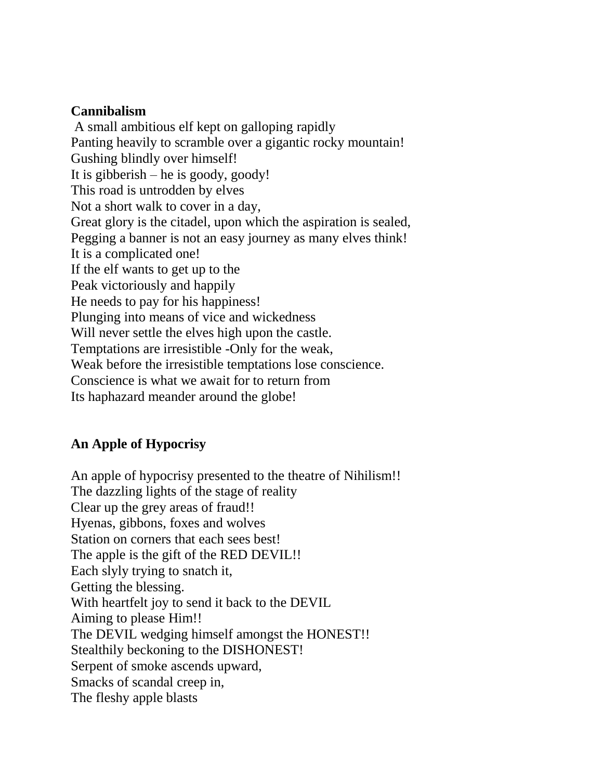### **Cannibalism**

A small ambitious elf kept on galloping rapidly Panting heavily to scramble over a gigantic rocky mountain! Gushing blindly over himself! It is gibberish – he is goody, goody! This road is untrodden by elves Not a short walk to cover in a day, Great glory is the citadel, upon which the aspiration is sealed, Pegging a banner is not an easy journey as many elves think! It is a complicated one! If the elf wants to get up to the Peak victoriously and happily He needs to pay for his happiness! Plunging into means of vice and wickedness Will never settle the elves high upon the castle. Temptations are irresistible -Only for the weak, Weak before the irresistible temptations lose conscience. Conscience is what we await for to return from Its haphazard meander around the globe!

## **An Apple of Hypocrisy**

An apple of hypocrisy presented to the theatre of Nihilism!! The dazzling lights of the stage of reality Clear up the grey areas of fraud!! Hyenas, gibbons, foxes and wolves Station on corners that each sees best! The apple is the gift of the RED DEVIL!! Each slyly trying to snatch it, Getting the blessing. With heartfelt joy to send it back to the DEVIL Aiming to please Him!! The DEVIL wedging himself amongst the HONEST!! Stealthily beckoning to the DISHONEST! Serpent of smoke ascends upward, Smacks of scandal creep in, The fleshy apple blasts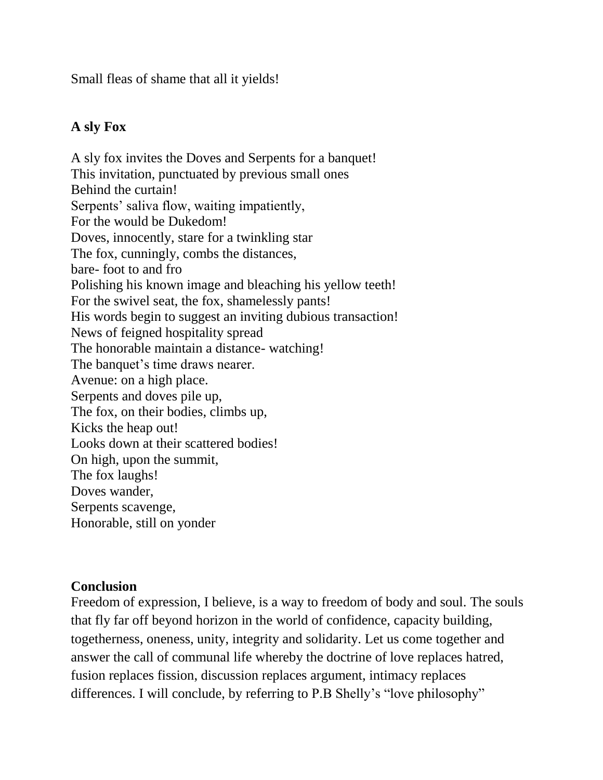Small fleas of shame that all it yields!

## **A sly Fox**

A sly fox invites the Doves and Serpents for a banquet! This invitation, punctuated by previous small ones Behind the curtain! Serpents' saliva flow, waiting impatiently, For the would be Dukedom! Doves, innocently, stare for a twinkling star The fox, cunningly, combs the distances, bare- foot to and fro Polishing his known image and bleaching his yellow teeth! For the swivel seat, the fox, shamelessly pants! His words begin to suggest an inviting dubious transaction! News of feigned hospitality spread The honorable maintain a distance- watching! The banquet's time draws nearer. Avenue: on a high place. Serpents and doves pile up, The fox, on their bodies, climbs up, Kicks the heap out! Looks down at their scattered bodies! On high, upon the summit, The fox laughs! Doves wander, Serpents scavenge, Honorable, still on yonder

### **Conclusion**

Freedom of expression, I believe, is a way to freedom of body and soul. The souls that fly far off beyond horizon in the world of confidence, capacity building, togetherness, oneness, unity, integrity and solidarity. Let us come together and answer the call of communal life whereby the doctrine of love replaces hatred, fusion replaces fission, discussion replaces argument, intimacy replaces differences. I will conclude, by referring to P.B Shelly's "love philosophy"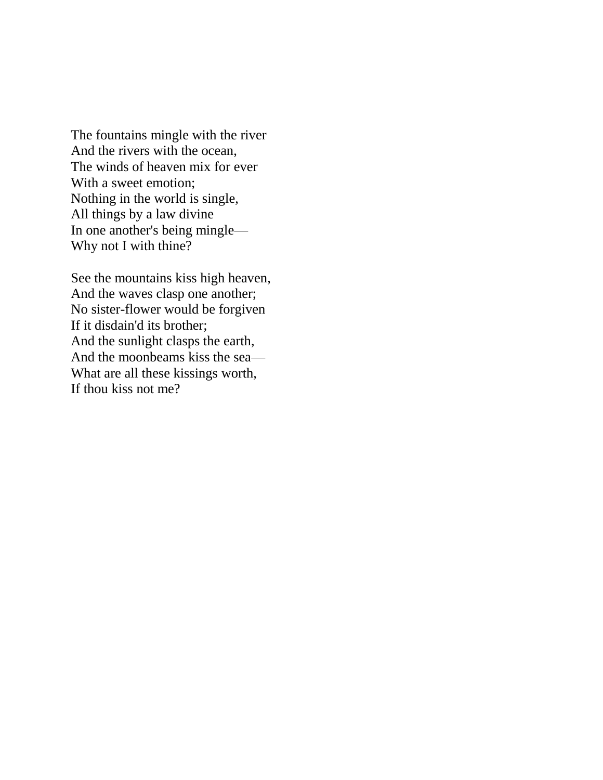The fountains mingle with the river And the rivers with the ocean, The winds of heaven mix for ever With a sweet emotion; Nothing in the world is single, All things by a law divine In one another's being mingle— Why not I with thine?

See the mountains kiss high heaven, And the waves clasp one another; No sister-flower would be forgiven If it disdain'd its brother; And the sunlight clasps the earth, And the moonbeams kiss the sea— What are all these kissings worth, If thou kiss not me?